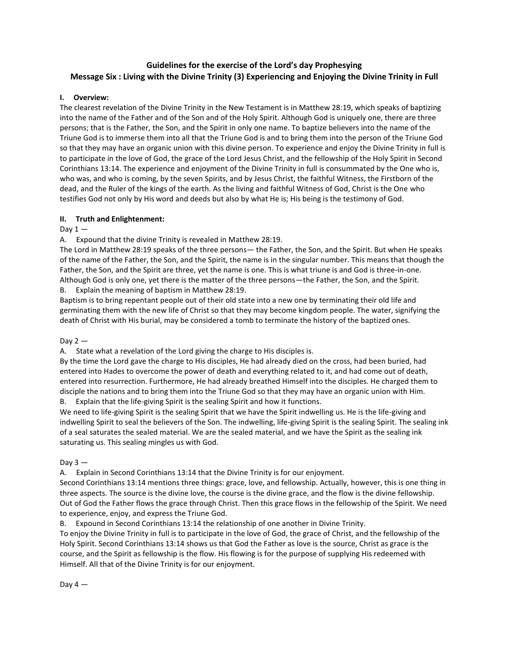# **Guidelines for the exercise of the Lord's day Prophesying Message Six : Living with the Divine Trinity (3) Experiencing and Enjoying the Divine Trinity in Full**

## **I. Overview:**

The clearest revelation of the Divine Trinity in the New Testament is in Matthew 28:19, which speaks of baptizing into the name of the Father and of the Son and of the Holy Spirit. Although God is uniquely one, there are three persons; that is the Father, the Son, and the Spirit in only one name. To baptize believers into the name of the Triune God is to immerse them into all that the Triune God is and to bring them into the person of the Triune God so that they may have an organic union with this divine person. To experience and enjoy the Divine Trinity in full is to participate in the love of God, the grace of the Lord Jesus Christ, and the fellowship of the Holy Spirit in Second Corinthians 13:14. The experience and enjoyment of the Divine Trinity in full is consummated by the One who is, who was, and who is coming, by the seven Spirits, and by Jesus Christ, the faithful Witness, the Firstborn of the dead, and the Ruler of the kings of the earth. As the living and faithful Witness of God, Christ is the One who testifies God not only by His word and deeds but also by what He is; His being is the testimony of God.

### **II. Truth and Enlightenment:**

### Day  $1 -$

A. Expound that the divine Trinity is revealed in Matthew 28:19.

The Lord in Matthew 28:19 speaks of the three persons— the Father, the Son, and the Spirit. But when He speaks of the name of the Father, the Son, and the Spirit, the name is in the singular number. This means that though the Father, the Son, and the Spirit are three, yet the name is one. This is what triune is and God is three-in-one. Although God is only one, yet there is the matter of the three persons—the Father, the Son, and the Spirit. B. Explain the meaning of baptism in Matthew 28:19.

Baptism is to bring repentant people out of their old state into a new one by terminating their old life and germinating them with the new life of Christ so that they may become kingdom people. The water, signifying the death of Christ with His burial, may be considered a tomb to terminate the history of the baptized ones.

#### Day  $2-$

A. State what a revelation of the Lord giving the charge to His disciples is.

By the time the Lord gave the charge to His disciples, He had already died on the cross, had been buried, had entered into Hades to overcome the power of death and everything related to it, and had come out of death, entered into resurrection. Furthermore, He had already breathed Himself into the disciples. He charged them to disciple the nations and to bring them into the Triune God so that they may have an organic union with Him. Explain that the life-giving Spirit is the sealing Spirit and how it functions.

We need to life-giving Spirit is the sealing Spirit that we have the Spirit indwelling us. He is the life-giving and indwelling Spirit to seal the believers of the Son. The indwelling, life-giving Spirit is the sealing Spirit. The sealing ink of a seal saturates the sealed material. We are the sealed material, and we have the Spirit as the sealing ink saturating us. This sealing mingles us with God.

Day  $3 -$ 

A. Explain in Second Corinthians 13:14 that the Divine Trinity is for our enjoyment.

Second Corinthians 13:14 mentions three things: grace, love, and fellowship. Actually, however, this is one thing in three aspects. The source is the divine love, the course is the divine grace, and the flow is the divine fellowship. Out of God the Father flows the grace through Christ. Then this grace flows in the fellowship of the Spirit. We need to experience, enjoy, and express the Triune God.

B. Expound in Second Corinthians 13:14 the relationship of one another in Divine Trinity.

To enjoy the Divine Trinity in full is to participate in the love of God, the grace of Christ, and the fellowship of the Holy Spirit. Second Corinthians 13:14 shows us that God the Father as love is the source, Christ as grace is the course, and the Spirit as fellowship is the flow. His flowing is for the purpose of supplying His redeemed with Himself. All that of the Divine Trinity is for our enjoyment.